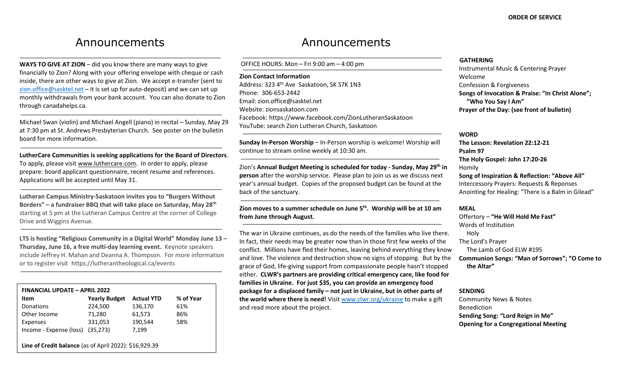# Announcements

**WAYS TO GIVE AT ZION** – did you know there are many ways to give financially to Zion? Along with your offering envelope with cheque or cash inside, there are other ways to give at Zion. We accept e-transfer (sent to [zion.office@sasktel.net](mailto:zion.office@sasktel.net) – it is set up for auto-deposit) and we can set up monthly withdrawals from your bank account. You can also donate to Zion through canadahelps.ca.

Michael Swan (violin) and Michael Angell (piano) in recital – Sunday, May 29 at 7:30 pm at St. Andrews Presbyterian Church. See poster on the bulletin board for more information.

**LutherCare Communities is seeking applications for the Board of Directors**. To apply, please visit [www.luthercare.com.](http://www.luthercare.com/) In order to apply, please prepare: board applicant questionnaire, recent resume and references. Applications will be accepted until May 31.

**Lutheran Campus Ministry-Saskatoon invites you to "Burgers Without Borders" – a fundraiser BBQ that will take place on Saturday, May 28th** starting at 5 pm at the Lutheran Campus Centre at the corner of College Drive and Wiggins Avenue.

**LTS is hosting "Religious Community in a Digital World" Monday June 13 – Thursday, June 16, a free multi-day learning event.** Keynote speakers include Jeffrey H. Mahan and Deanna A. Thompson. For more information or to register visit https://lutherantheological.ca/events

| <b>FINANCIAL UPDATE - APRIL 2022</b>                   |                      |                   |           |
|--------------------------------------------------------|----------------------|-------------------|-----------|
| Item                                                   | <b>Yearly Budget</b> | <b>Actual YTD</b> | % of Year |
| Donations                                              | 224,500              | 136,170           | 61%       |
| Other Income                                           | 71,280               | 61,573            | 86%       |
| <b>Expenses</b>                                        | 331,053              | 190,544           | 58%       |
| Income - Expense (loss)                                | (35, 273)            | 7,199             |           |
|                                                        |                      |                   |           |
| Line of Credit balance (as of April 2022): \$16,929.39 |                      |                   |           |
|                                                        |                      |                   |           |

# Announcements

OFFICE HOURS: Mon – Fri 9:00 am – 4:00 pm

#### **Zion Contact Information**

Address: 323 4<sup>th</sup> Ave Saskatoon, SK S7K 1N3 Phone: 306-653-2442 Email[: zion.office@sasktel.net](mailto:zion.office@sasktel.net) Website: zionsaskatoon.com Facebook:<https://www.facebook.com/ZionLutheranSaskatoon> YouTube[: search](https://www.youtube.com/channel/UCo7oFRb9WluqtWmHpv-yVgw) Zion Lutheran Church, Saskatoon

**Sunday In-Person Worship** – In-Person worship is welcome! Worship will continue to stream online weekly at 10:30 am.

Zion's **Annual Budget Meeting is scheduled for today - Sunday, May 29th in person** after the worship service. Please plan to join us as we discuss next year's annual budget. Copies of the proposed budget can be found at the back of the sanctuary.

# **Zion moves to a summer schedule on June 5th. Worship will be at 10 am from June through August.**

The war in Ukraine continues, as do the needs of the families who live there. In fact, their needs may be greater now than in those first few weeks of the conflict. Millions have fled their homes, leaving behind everything they know and love. The violence and destruction show no signs of stopping. But by the grace of God, life-giving support from compassionate people hasn't stopped either. **CLWR's partners are providing critical emergency care, like food for families in Ukraine. For just \$35, you can provide an emergency food package for a displaced family – not just in Ukraine, but in other parts of the world where there is need!** Visi[t www.clwr.org/ukraine](http://www.clwr.org/ukraine) to make a gift and read more about the project.

### **GATHERING**

Instrumental Music & Centering Prayer Welcome Confession & Forgiveness **Songs of Invocation & Praise: "In Christ Alone"; "Who You Say I Am" Prayer of the Day: (see front of bulletin)** 

#### **WORD**

**The Lesson: Revelation 22:12-21 Psalm 97 The Holy Gospel: John 17:20-26** Homily **Song of Inspiration & Reflection: "Above All"** Intercessory Prayers: Requests & Reponses Anointing for Healing: "There is a Balm in Gilead"

#### **MEAL**

Offertory – **"He Will Hold Me Fast"** Words of Institution Holy The Lord's Prayer The Lamb of God ELW #195 **Communion Songs: "Man of Sorrows"; "O Come to the Altar"**

#### **SENDING**

Community News & Notes Benediction **Sending Song: "Lord Reign in Me" Opening for a Congregational Meeting**